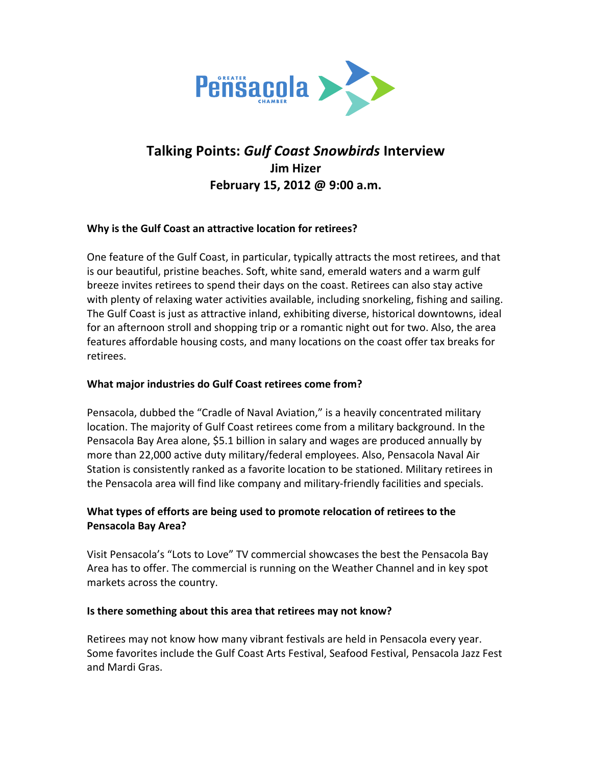

# **Talking Points:** *Gulf Coast Snowbirds* **Interview Jim Hizer** February 15, 2012 @ 9:00 a.m.

## **Why is the Gulf Coast an attractive location for retirees?**

One feature of the Gulf Coast, in particular, typically attracts the most retirees, and that is our beautiful, pristine beaches. Soft, white sand, emerald waters and a warm gulf breeze invites retirees to spend their days on the coast. Retirees can also stay active with plenty of relaxing water activities available, including snorkeling, fishing and sailing. The Gulf Coast is just as attractive inland, exhibiting diverse, historical downtowns, ideal for an afternoon stroll and shopping trip or a romantic night out for two. Also, the area features affordable housing costs, and many locations on the coast offer tax breaks for retirees. 

## **What major industries do Gulf Coast retirees come from?**

Pensacola, dubbed the "Cradle of Naval Aviation," is a heavily concentrated military location. The majority of Gulf Coast retirees come from a military background. In the Pensacola Bay Area alone, \$5.1 billion in salary and wages are produced annually by more than 22,000 active duty military/federal employees. Also, Pensacola Naval Air Station is consistently ranked as a favorite location to be stationed. Military retirees in the Pensacola area will find like company and military-friendly facilities and specials.

## What types of efforts are being used to promote relocation of retirees to the **Pensacola Bay Area?**

Visit Pensacola's "Lots to Love" TV commercial showcases the best the Pensacola Bay Area has to offer. The commercial is running on the Weather Channel and in key spot markets across the country.

## **Is there something about this area that retirees may not know?**

Retirees may not know how many vibrant festivals are held in Pensacola every year. Some favorites include the Gulf Coast Arts Festival, Seafood Festival, Pensacola Jazz Fest and Mardi Gras.